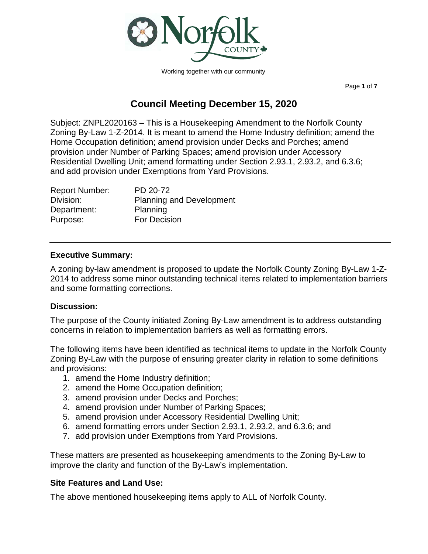

Working together with our community

Page **1** of **7**

# **Council Meeting December 15, 2020**

Subject: ZNPL2020163 – This is a Housekeeping Amendment to the Norfolk County Zoning By-Law 1-Z-2014. It is meant to amend the Home Industry definition; amend the Home Occupation definition; amend provision under Decks and Porches; amend provision under Number of Parking Spaces; amend provision under Accessory Residential Dwelling Unit; amend formatting under Section 2.93.1, 2.93.2, and 6.3.6; and add provision under Exemptions from Yard Provisions.

| <b>Report Number:</b> | PD 20-72                        |
|-----------------------|---------------------------------|
| Division:             | <b>Planning and Development</b> |
| Department:           | Planning                        |
| Purpose:              | For Decision                    |

## **Executive Summary:**

A zoning by-law amendment is proposed to update the Norfolk County Zoning By-Law 1-Z-2014 to address some minor outstanding technical items related to implementation barriers and some formatting corrections.

# **Discussion:**

The purpose of the County initiated Zoning By-Law amendment is to address outstanding concerns in relation to implementation barriers as well as formatting errors.

The following items have been identified as technical items to update in the Norfolk County Zoning By-Law with the purpose of ensuring greater clarity in relation to some definitions and provisions:

- 1. amend the Home Industry definition;
- 2. amend the Home Occupation definition;
- 3. amend provision under Decks and Porches;
- 4. amend provision under Number of Parking Spaces;
- 5. amend provision under Accessory Residential Dwelling Unit;
- 6. amend formatting errors under Section 2.93.1, 2.93.2, and 6.3.6; and
- 7. add provision under Exemptions from Yard Provisions.

These matters are presented as housekeeping amendments to the Zoning By-Law to improve the clarity and function of the By-Law's implementation.

### **Site Features and Land Use:**

The above mentioned housekeeping items apply to ALL of Norfolk County.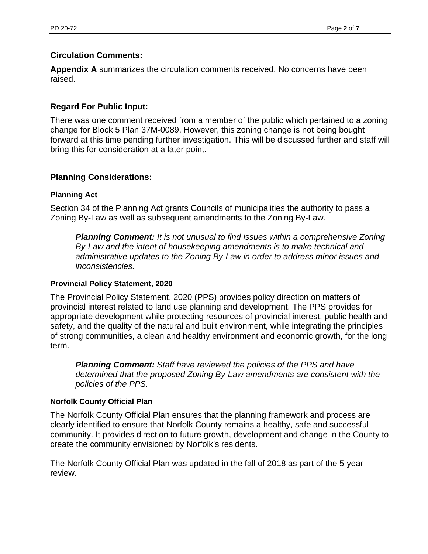# **Circulation Comments:**

**Appendix A** summarizes the circulation comments received. No concerns have been raised.

# **Regard For Public Input:**

There was one comment received from a member of the public which pertained to a zoning change for Block 5 Plan 37M-0089. However, this zoning change is not being bought forward at this time pending further investigation. This will be discussed further and staff will bring this for consideration at a later point.

### **Planning Considerations:**

### **Planning Act**

Section 34 of the Planning Act grants Councils of municipalities the authority to pass a Zoning By-Law as well as subsequent amendments to the Zoning By-Law.

*Planning Comment: It is not unusual to find issues within a comprehensive Zoning By-Law and the intent of housekeeping amendments is to make technical and administrative updates to the Zoning By-Law in order to address minor issues and inconsistencies.*

### **Provincial Policy Statement, 2020**

The Provincial Policy Statement, 2020 (PPS) provides policy direction on matters of provincial interest related to land use planning and development. The PPS provides for appropriate development while protecting resources of provincial interest, public health and safety, and the quality of the natural and built environment, while integrating the principles of strong communities, a clean and healthy environment and economic growth, for the long term.

*Planning Comment: Staff have reviewed the policies of the PPS and have determined that the proposed Zoning By-Law amendments are consistent with the policies of the PPS.*

### **Norfolk County Official Plan**

The Norfolk County Official Plan ensures that the planning framework and process are clearly identified to ensure that Norfolk County remains a healthy, safe and successful community. It provides direction to future growth, development and change in the County to create the community envisioned by Norfolk's residents.

The Norfolk County Official Plan was updated in the fall of 2018 as part of the 5-year review.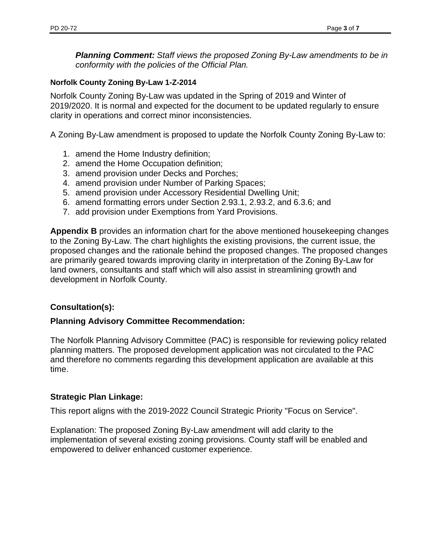*Planning Comment: Staff views the proposed Zoning By-Law amendments to be in conformity with the policies of the Official Plan.*

### **Norfolk County Zoning By-Law 1-Z-2014**

Norfolk County Zoning By-Law was updated in the Spring of 2019 and Winter of 2019/2020. It is normal and expected for the document to be updated regularly to ensure clarity in operations and correct minor inconsistencies.

A Zoning By-Law amendment is proposed to update the Norfolk County Zoning By-Law to:

- 1. amend the Home Industry definition;
- 2. amend the Home Occupation definition;
- 3. amend provision under Decks and Porches;
- 4. amend provision under Number of Parking Spaces;
- 5. amend provision under Accessory Residential Dwelling Unit;
- 6. amend formatting errors under Section 2.93.1, 2.93.2, and 6.3.6; and
- 7. add provision under Exemptions from Yard Provisions.

**Appendix B** provides an information chart for the above mentioned housekeeping changes to the Zoning By-Law. The chart highlights the existing provisions, the current issue, the proposed changes and the rationale behind the proposed changes. The proposed changes are primarily geared towards improving clarity in interpretation of the Zoning By-Law for land owners, consultants and staff which will also assist in streamlining growth and development in Norfolk County.

# **Consultation(s):**

### **Planning Advisory Committee Recommendation:**

The Norfolk Planning Advisory Committee (PAC) is responsible for reviewing policy related planning matters. The proposed development application was not circulated to the PAC and therefore no comments regarding this development application are available at this time.

### **Strategic Plan Linkage:**

This report aligns with the 2019-2022 Council Strategic Priority "Focus on Service".

Explanation: The proposed Zoning By-Law amendment will add clarity to the implementation of several existing zoning provisions. County staff will be enabled and empowered to deliver enhanced customer experience.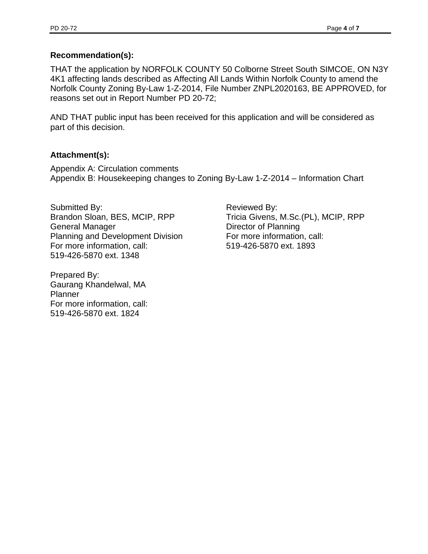# **Recommendation(s):**

THAT the application by NORFOLK COUNTY 50 Colborne Street South SIMCOE, ON N3Y 4K1 affecting lands described as Affecting All Lands Within Norfolk County to amend the Norfolk County Zoning By-Law 1-Z-2014, File Number ZNPL2020163, BE APPROVED, for reasons set out in Report Number PD 20-72;

AND THAT public input has been received for this application and will be considered as part of this decision.

# **Attachment(s):**

Appendix A: Circulation comments Appendix B: Housekeeping changes to Zoning By-Law 1-Z-2014 – Information Chart

Submitted By: Brandon Sloan, BES, MCIP, RPP General Manager Planning and Development Division For more information, call: 519-426-5870 ext. 1348

Prepared By: Gaurang Khandelwal, MA Planner For more information, call: 519-426-5870 ext. 1824

Reviewed By: Tricia Givens, M.Sc.(PL), MCIP, RPP Director of Planning For more information, call: 519-426-5870 ext. 1893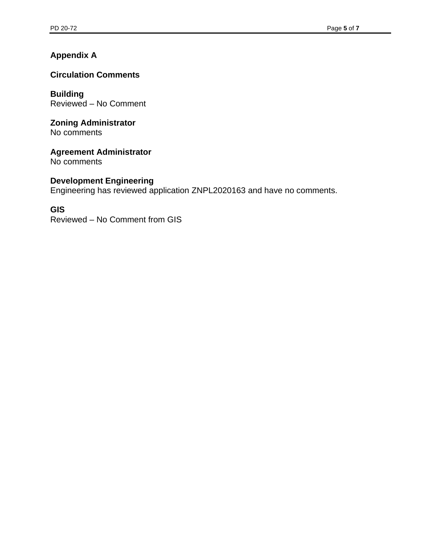# **Appendix A**

# **Circulation Comments**

**Building** Reviewed – No Comment

#### **Zoning Administrator** No comments

**Agreement Administrator**

No comments

# **Development Engineering**

Engineering has reviewed application ZNPL2020163 and have no comments.

# **GIS**

Reviewed – No Comment from GIS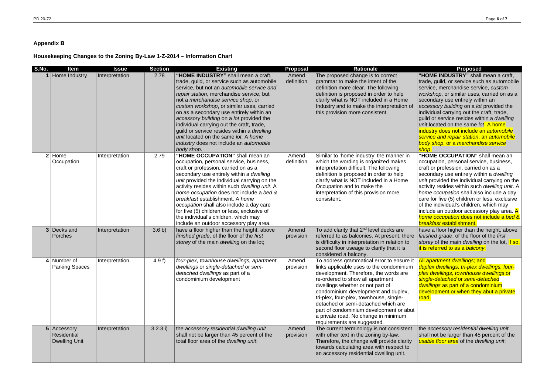# **Appendix B**

# **Housekeeping Changes to the Zoning By-Law 1-Z-2014 – Information Chart**

**"HOME INDUSTRY"** shall mean a craft, trade, guild, or service such as automobile service, merchandise service, *custom workshop*, or similar uses, carried on as a secondary use entirely within an *accessory building* on a *lot* provided the individual carrying out the craft, trade, guild or service resides within a *dwelling unit* located on the same *lot*. A home industry does not include an *automobile service and repair station*, an *automobile body shop*, or a *merchandise service shop*. **"HOME OCCUPATION"** shall mean an

| S.No.          | <b>Item</b>                                        | <b>Issue</b>   | <b>Section</b> | <b>Existing</b>                                                                                                                                                                                                                                                                                                                                                                                                                                                                                                                                     | <b>Proposal</b>     | <b>Rationale</b>                                                                                                                                                                                                                                                                                                                                                                                                                                  | Proposed                                                                                                                                                                                                                                                                                                                                                                       |
|----------------|----------------------------------------------------|----------------|----------------|-----------------------------------------------------------------------------------------------------------------------------------------------------------------------------------------------------------------------------------------------------------------------------------------------------------------------------------------------------------------------------------------------------------------------------------------------------------------------------------------------------------------------------------------------------|---------------------|---------------------------------------------------------------------------------------------------------------------------------------------------------------------------------------------------------------------------------------------------------------------------------------------------------------------------------------------------------------------------------------------------------------------------------------------------|--------------------------------------------------------------------------------------------------------------------------------------------------------------------------------------------------------------------------------------------------------------------------------------------------------------------------------------------------------------------------------|
|                | Home Industry                                      | Interpretation | 2.78           | "HOME INDUSTRY" shall mean a craft,<br>trade, guild, or service such as automobile<br>service, but not an automobile service and<br>repair station, merchandise service, but<br>not a merchandise service shop, or<br>custom workshop, or similar uses, carried<br>on as a secondary use entirely within an<br>accessory building on a lot provided the<br>individual carrying out the craft, trade,<br>guild or service resides within a dwelling<br>unit located on the same lot. A home<br>industry does not include an automobile<br>body shop. | Amend<br>definition | The proposed change is to correct<br>grammar to make the intent of the<br>definition more clear. The following<br>definition is proposed in order to help<br>clarify what is NOT included in a Home<br>Industry and to make the interpretation of<br>this provision more consistent.                                                                                                                                                              | "HOME INDUSTRY" shall<br>trade, guild, or service suc<br>service, merchandise serv<br>workshop, or similar uses,<br>secondary use entirely witl<br>accessory building on a lot<br>individual carrying out the<br>quild or service resides wit<br>unit located on the same k<br>industry does not include a<br>service and repair station,<br>body shop, or a merchand<br>shop. |
| 2 <sup>1</sup> | Home<br>Occupation                                 | Interpretation | 2.79           | "HOME OCCUPATION" shall mean an<br>occupation, personal service, business,<br>craft or profession, carried on as a<br>secondary use entirely within a dwelling<br>unit provided the individual carrying on the<br>activity resides within such dwelling unit. A<br>home occupation does not include a bed &<br>breakfast establishment. A home<br>occupation shall also include a day care<br>for five (5) children or less, exclusive of<br>the individual's children, which may<br>include an outdoor accessory play area.                        | Amend<br>definition | Similar to 'home industry' the manner in<br>which the wording is organized makes<br>interpretation difficult. The following<br>definition is proposed in order to help<br>clarify what is NOT included in a Home<br>Occupation and to make the<br>interpretation of this provision more<br>consistent.                                                                                                                                            | "HOME OCCUPATION" s<br>occupation, personal servi<br>craft or profession, carried<br>secondary use entirely witl<br>unit provided the individua<br>activity resides within such<br>home occupation shall also<br>care for five (5) children or<br>of the individual's children,<br>include an outdoor access<br>home occupation does not<br>breakfast establishment.           |
|                | 3 Decks and<br>Porches                             | Interpretation | 3.6 b)         | have a floor higher than the height, above<br>finished grade, of the floor of the first<br>storey of the main dwelling on the lot;                                                                                                                                                                                                                                                                                                                                                                                                                  | Amend<br>provision  | To add clarity that 2 <sup>nd</sup> level decks are<br>referred to as balconies. At present, there<br>is difficulty in interpretation in relation to<br>second floor useage to clarify that it is<br>considered a balcony.                                                                                                                                                                                                                        | have a floor higher than th<br>finished grade, of the floor<br>storey of the main dwelling<br>it is referred to as a balcor                                                                                                                                                                                                                                                    |
|                | 4   Number of<br><b>Parking Spaces</b>             | Interpretation | 4.9 $f$ )      | four-plex, townhouse dwellings, apartment<br>dwellings or single-detached or sem-<br>detached dwellings as part of a<br>condominium development                                                                                                                                                                                                                                                                                                                                                                                                     | Amend<br>provision  | To address grammatical error to ensure it<br>links applicable uses to the condominium<br>development. Therefore, the words are<br>re-ordered to show all apartment<br>dwellings whether or not part of<br>condominium development and duplex,<br>tri-plex, four-plex, townhouse, single-<br>detached or semi-detached which are<br>part of condominium development or abut<br>a private road. No change in minimum<br>requirements are suggested. | All apartment dwellings; ar<br>duplex dwellings, tri-plex a<br>plex dwellings, townhouse<br>single-detached or semi-de<br>dwellings as part of a cond<br>development or when they<br>road.                                                                                                                                                                                     |
|                | 5 Accessory<br>Residential<br><b>Dwelling Unit</b> | Interpretation | 3.2.3 i)       | the accessory residential dwelling unit<br>shall not be larger than 45 percent of the<br>total floor area of the dwelling unit,                                                                                                                                                                                                                                                                                                                                                                                                                     | Amend<br>provision  | The current terminology is not consistent<br>with other text in the zoning by-law.<br>Therefore, the change will provide clarity<br>towards calculating area with respect to<br>an accessory residential dwelling unit.                                                                                                                                                                                                                           | the accessory residential of<br>shall not be larger than 45<br>usable floor area of the dw                                                                                                                                                                                                                                                                                     |

occupation, personal service, business, craft or profession, carried on as a secondary use entirely within a *dwelling unit* provided the individual carrying on the activity resides within such *dwelling unit*. A *home occupation* shall also include a day care for five (5) children or less, exclusive of the individual's children, which may Include an outdoor accessory play area. A *home occupation* does not include a *bed & breakfast* establishment.

have a floor higher than the height, above *finished grade*, of the floor of the *first storey* of the main *dwelling* on the lot, if so, it is referred to as a *balcony*;

All *apartment dwellings;* and *duplex dwellings, tri-plex dwellings, fourplex dwellings, townhouse dwellings* or *single-detached* or *semi-detached dwellings* as part of a condominium development or when they abut a private road.

the *accessory residential dwelling unit* shall not be larger than 45 percent of the *usable floor area* of the *dwelling unit*;